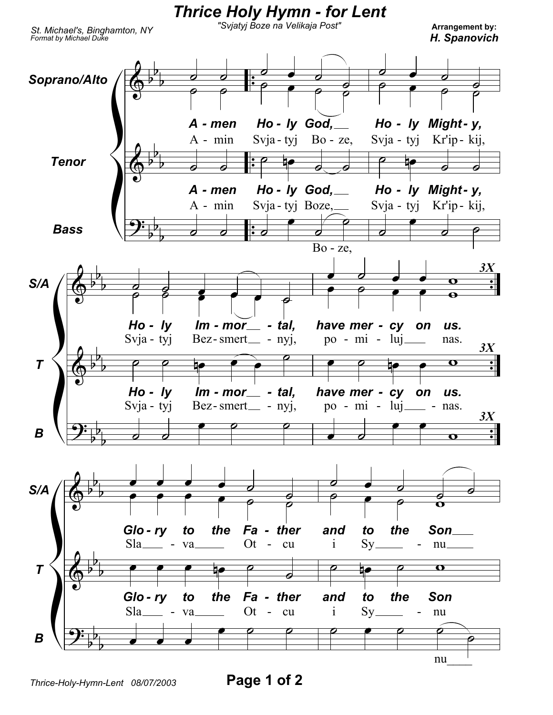

*Thrice-Holy-Hymn-Lent 08/07/2003* **Page 1 of 2**